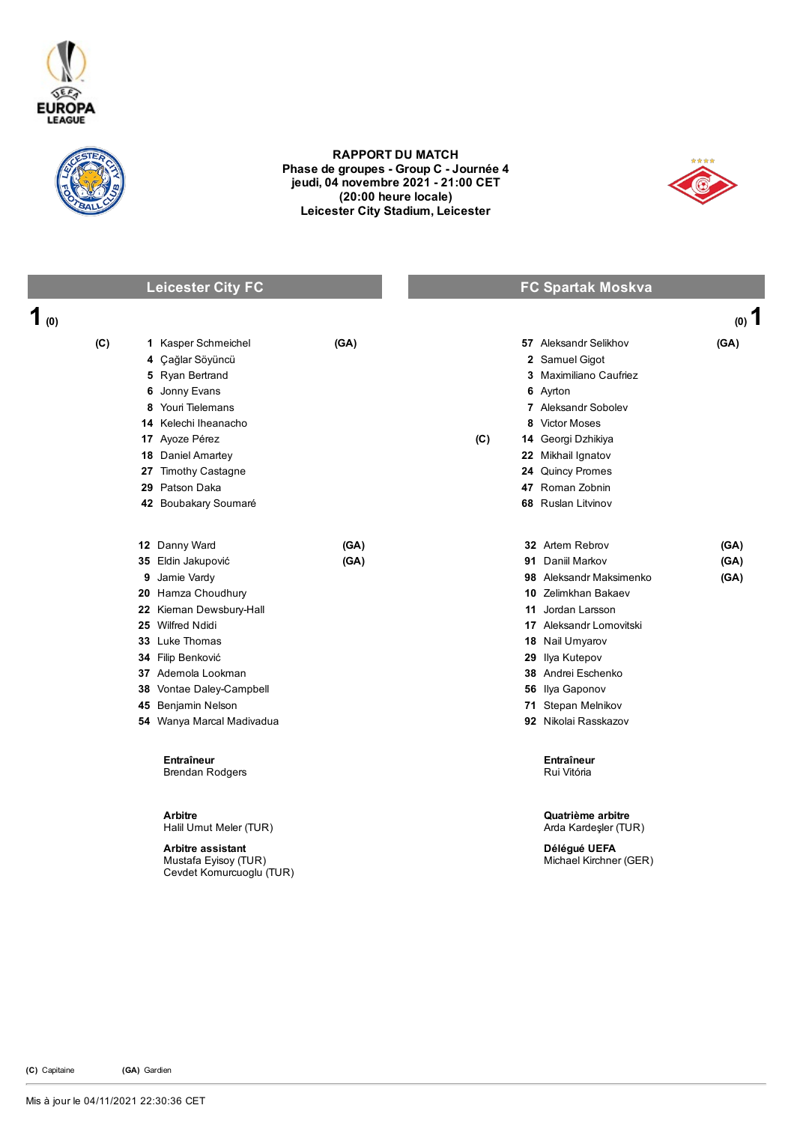



## RAPPORT DU MATCH Phase de groupes - Group C - Journée 4 jeudi, 04 novembre 2021 21:00 CET (20:00 heure locale) Leicester City Stadium, Leicester



## Leicester City FC **FC** Spartak Moskva

| 1 $\omega$ |                                                                              |      |     |                                           | $(0)$ 1 |
|------------|------------------------------------------------------------------------------|------|-----|-------------------------------------------|---------|
| (C)        | 1 Kasper Schmeichel                                                          | (GA) |     | 57 Aleksandr Selikhov                     | (GA)    |
|            | 4 Çağlar Söyüncü                                                             |      |     | 2 Samuel Gigot                            |         |
|            | 5 Ryan Bertrand                                                              |      |     | 3 Maximiliano Caufriez                    |         |
|            | 6 Jonny Evans                                                                |      |     | 6 Ayrton                                  |         |
|            | 8 Youri Tielemans                                                            |      |     | 7 Aleksandr Sobolev                       |         |
|            | 14 Kelechi Iheanacho                                                         |      |     | 8 Victor Moses                            |         |
|            | 17 Ayoze Pérez                                                               |      | (C) | 14 Georgi Dzhikiya                        |         |
|            | 18 Daniel Amartey                                                            |      |     | 22 Mikhail Ignatov                        |         |
|            | 27 Timothy Castagne                                                          |      |     | 24 Quincy Promes                          |         |
|            | 29 Patson Daka                                                               |      |     | 47 Roman Zobnin                           |         |
|            | 42 Boubakary Soumaré                                                         |      |     | 68 Ruslan Litvinov                        |         |
|            | 12 Danny Ward                                                                | (GA) |     | 32 Artem Rebrov                           | (GA)    |
|            | 35 Eldin Jakupović                                                           | (GA) |     | 91 Daniil Markov                          | (GA)    |
| 9          | Jamie Vardy                                                                  |      |     | 98 Aleksandr Maksimenko                   | (GA)    |
|            | 20 Hamza Choudhury                                                           |      |     | 10 Zelimkhan Bakaev                       |         |
|            | 22 Kieman Dewsbury-Hall                                                      |      | 11  | Jordan Larsson                            |         |
|            | 25 Wilfred Ndidi                                                             |      |     | 17 Aleksandr Lomovitski                   |         |
|            | 33 Luke Thomas                                                               |      |     | 18 Nail Umyarov                           |         |
|            | 34 Filip Benković                                                            |      |     | 29 Ilya Kutepov                           |         |
|            | 37 Ademola Lookman                                                           |      |     | 38 Andrei Eschenko                        |         |
|            | 38 Vontae Daley-Campbell                                                     |      |     | 56 Ilya Gaponov                           |         |
|            | 45 Benjamin Nelson                                                           |      |     | 71 Stepan Melnikov                        |         |
|            | 54 Wanya Marcal Madivadua                                                    |      |     | 92 Nikolai Rasskazov                      |         |
|            | Entraîneur<br><b>Brendan Rodgers</b>                                         |      |     | <b>Entraîneur</b><br>Rui Vitória          |         |
|            | <b>Arbitre</b><br>Halil Umut Meler (TUR)                                     |      |     | Quatrième arbitre<br>Arda Kardeşler (TUR) |         |
|            | <b>Arbitre assistant</b><br>Mustafa Eyisoy (TUR)<br>Cevdet Komurcuoglu (TUR) |      |     | Délégué UEFA<br>Michael Kirchner (GER)    |         |

(C) Capitaine (GA) Gardien